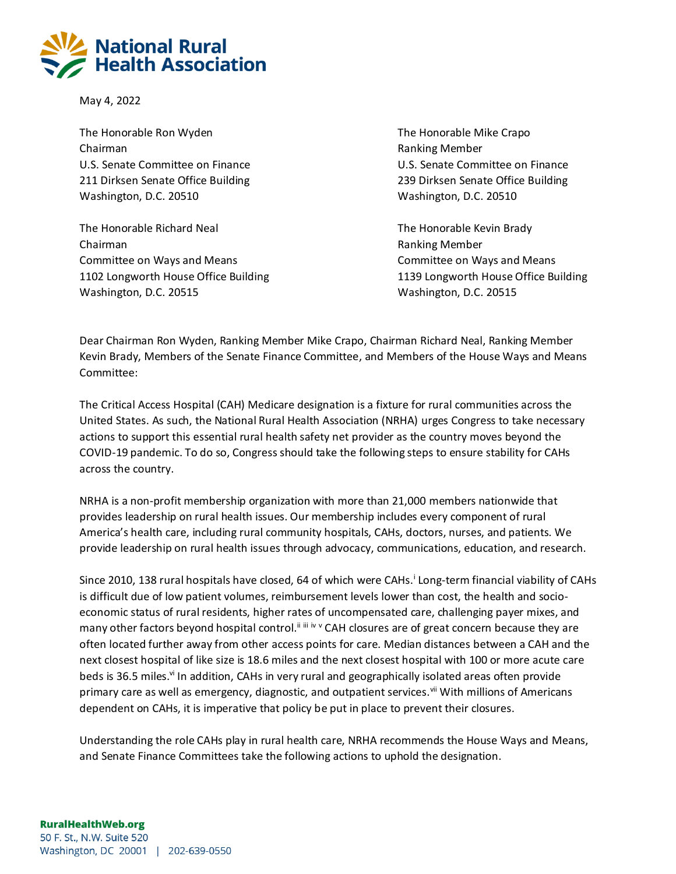

May 4, 2022

The Honorable Ron Wyden The Honorable Mike Crapo Chairman **Ranking Member Ranking Member Ranking Member** U.S. Senate Committee on Finance U.S. Senate Committee on Finance 211 Dirksen Senate Office Building 239 Dirksen Senate Office Building Washington, D.C. 20510 Washington, D.C. 20510

The Honorable Richard Neal The Honorable Kevin Brady Chairman **Ranking Member Ranking Member Ranking Member** Committee on Ways and Means **Committee on Ways and Means** Committee on Ways and Means 1102 Longworth House Office Building 1139 Longworth House Office Building Washington, D.C. 20515 Washington, D.C. 20515

Dear Chairman Ron Wyden, Ranking Member Mike Crapo, Chairman Richard Neal, Ranking Member Kevin Brady, Members of the Senate Finance Committee, and Members of the House Ways and Means Committee:

The Critical Access Hospital (CAH) Medicare designation is a fixture for rural communities across the United States. As such, the National Rural Health Association (NRHA) urges Congress to take necessary actions to support this essential rural health safety net provider as the country moves beyond the COVID-19 pandemic. To do so, Congress should take the following steps to ensure stability for CAHs across the country.

NRHA is a non-profit membership organization with more than 21,000 members nationwide that provides leadership on rural health issues. Our membership includes every component of rural America's health care, including rural community hospitals, CAHs, doctors, nurses, and patients. We provide leadership on rural health issues through advocacy, communications, education, and research.

Since 2010, 138 rural hospitals have closed, 64 of which were CAHs.<sup>i</sup> Long-term financial viability of CAHs is difficult due of low patient volumes, reimbursement levels lower than cost, the health and socioeconomic status of rural residents, higher rates of uncompensated care, challenging payer mixes, and many other factors beyond hospital control.<sup>iiiii</sup> iv v CAH closures are of great concern because they are often located further away from other access points for care. Median distances between a CAH and the next closest hospital of like size is 18.6 miles and the next closest hospital with 100 or more acute care beds is 36.5 miles.<sup>vi</sup> In addition, CAHs in very rural and geographically isolated areas often provide primary care as well as emergency, diagnostic, and outpatient services.<sup>vii</sup> With millions of Americans dependent on CAHs, it is imperative that policy be put in place to prevent their closures.

Understanding the role CAHs play in rural health care, NRHA recommends the House Ways and Means, and Senate Finance Committees take the following actions to uphold the designation.

## **RuralHealthWeb.org**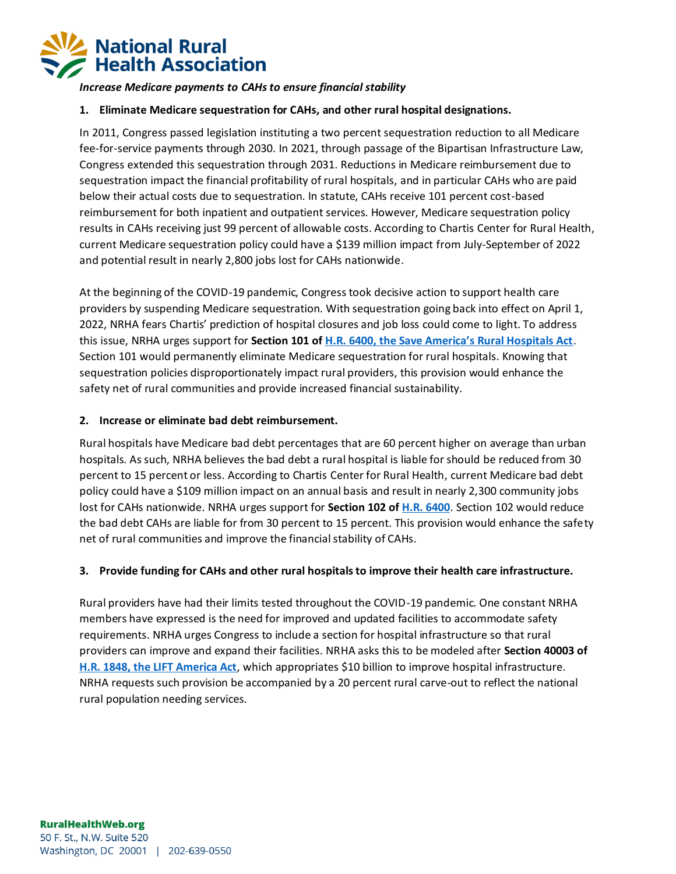

*Increase Medicare payments to CAHs to ensure financial stability*

#### **1. Eliminate Medicare sequestration for CAHs, and other rural hospital designations.**

In 2011, Congress passed legislation instituting a two percent sequestration reduction to all Medicare fee-for-service payments through 2030. In 2021, through passage of the Bipartisan Infrastructure Law, Congress extended this sequestration through 2031. Reductions in Medicare reimbursement due to sequestration impact the financial profitability of rural hospitals, and in particular CAHs who are paid below their actual costs due to sequestration. In statute, CAHs receive 101 percent cost-based reimbursement for both inpatient and outpatient services. However, Medicare sequestration policy results in CAHs receiving just 99 percent of allowable costs. According to Chartis Center for Rural Health, current Medicare sequestration policy could have a \$139 million impact from July-September of 2022 and potential result in nearly 2,800 jobs lost for CAHs nationwide.

At the beginning of the COVID-19 pandemic, Congress took decisive action to support health care providers by suspending Medicare sequestration. With sequestration going back into effect on April 1, 2022, NRHA fears Chartis' prediction of hospital closures and job loss could come to light. To address this issue, NRHA urges support for **Section 101 of [H.R. 6400, the Save America's Rural Hospitals Act](https://www.congress.gov/bill/117th-congress/house-bill/6400?s=1&r=1)**. Section 101 would permanently eliminate Medicare sequestration for rural hospitals. Knowing that sequestration policies disproportionately impact rural providers, this provision would enhance the safety net of rural communities and provide increased financial sustainability.

#### **2. Increase or eliminate bad debt reimbursement.**

Rural hospitals have Medicare bad debt percentages that are 60 percent higher on average than urban hospitals. As such, NRHA believes the bad debt a rural hospital is liable for should be reduced from 30 percent to 15 percent or less. According to Chartis Center for Rural Health, current Medicare bad debt policy could have a \$109 million impact on an annual basis and result in nearly 2,300 community jobs lost for CAHs nationwide. NRHA urges support for **Section 102 of [H.R. 6400](https://www.congress.gov/bill/117th-congress/house-bill/6400?s=1&r=1)**. Section 102 would reduce the bad debt CAHs are liable for from 30 percent to 15 percent. This provision would enhance the safety net of rural communities and improve the financial stability of CAHs.

### **3. Provide funding for CAHs and other rural hospitals to improve their health care infrastructure.**

Rural providers have had their limits tested throughout the COVID-19 pandemic. One constant NRHA members have expressed is the need for improved and updated facilities to accommodate safety requirements. NRHA urges Congress to include a section for hospital infrastructure so that rural providers can improve and expand their facilities. NRHA asks this to be modeled after **Section 40003 of [H.R. 1848, the LIFT America Act](https://www.congress.gov/bill/117th-congress/house-bill/1848)**, which appropriates \$10 billion to improve hospital infrastructure. NRHA requests such provision be accompanied by a 20 percent rural carve-out to reflect the national rural population needing services.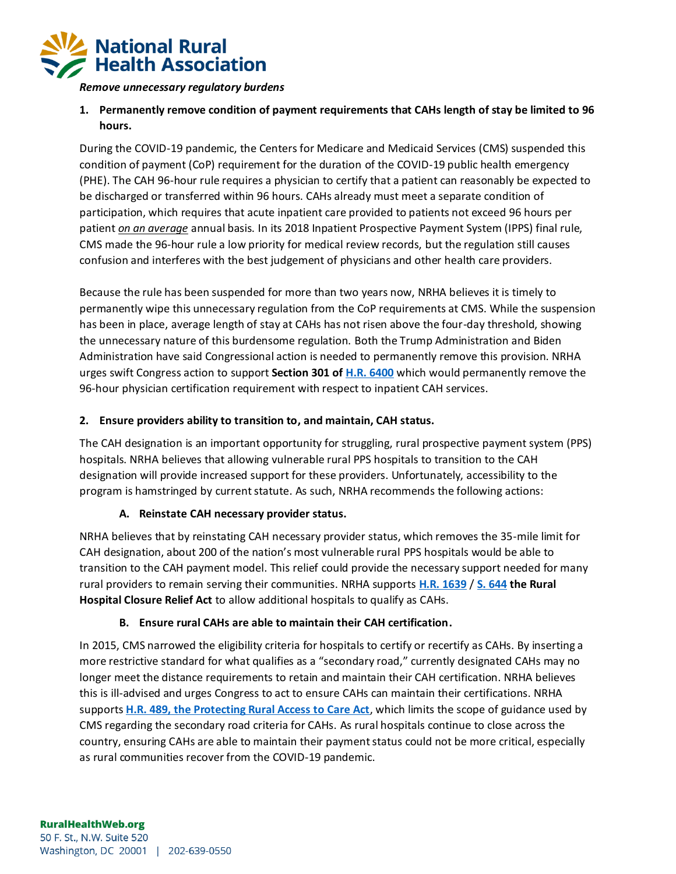

*Remove unnecessary regulatory burdens*

# **1. Permanently remove condition of payment requirements that CAHs length of stay be limited to 96 hours.**

During the COVID-19 pandemic, the Centers for Medicare and Medicaid Services (CMS) suspended this condition of payment (CoP) requirement for the duration of the COVID-19 public health emergency (PHE). The CAH 96-hour rule requires a physician to certify that a patient can reasonably be expected to be discharged or transferred within 96 hours. CAHs already must meet a separate condition of participation, which requires that acute inpatient care provided to patients not exceed 96 hours per patient *on an average* annual basis. In its 2018 Inpatient Prospective Payment System (IPPS) final rule, CMS made the 96-hour rule a low priority for medical review records, but the regulation still causes confusion and interferes with the best judgement of physicians and other health care providers.

Because the rule has been suspended for more than two years now, NRHA believes it is timely to permanently wipe this unnecessary regulation from the CoP requirements at CMS. While the suspension has been in place, average length of stay at CAHs has not risen above the four-day threshold, showing the unnecessary nature of this burdensome regulation. Both the Trump Administration and Biden Administration have said Congressional action is needed to permanently remove this provision. NRHA urges swift Congress action to support **Section 301 of [H.R. 6400](https://www.congress.gov/bill/117th-congress/house-bill/6400/text#toc-HD405A1E4BF71495E83068A1F2D375123)** which would permanently remove the 96-hour physician certification requirement with respect to inpatient CAH services.

### **2. Ensure providers ability to transition to, and maintain, CAH status.**

The CAH designation is an important opportunity for struggling, rural prospective payment system (PPS) hospitals. NRHA believes that allowing vulnerable rural PPS hospitals to transition to the CAH designation will provide increased support for these providers. Unfortunately, accessibility to the program is hamstringed by current statute. As such, NRHA recommends the following actions:

### **A. Reinstate CAH necessary provider status.**

NRHA believes that by reinstating CAH necessary provider status, which removes the 35-mile limit for CAH designation, about 200 of the nation's most vulnerable rural PPS hospitals would be able to transition to the CAH payment model. This relief could provide the necessary support needed for many rural providers to remain serving their communities. NRHA supports **[H.R. 1639](https://www.congress.gov/bill/117th-congress/house-bill/1639)** / **[S. 644](https://www.congress.gov/bill/117th-congress/senate-bill/644) the Rural Hospital Closure Relief Act** to allow additional hospitals to qualify as CAHs.

### **B. Ensure rural CAHs are able to maintain their CAH certification.**

In 2015, CMS narrowed the eligibility criteria for hospitals to certify or recertify as CAHs. By inserting a more restrictive standard for what qualifies as a "secondary road," currently designated CAHs may no longer meet the distance requirements to retain and maintain their CAH certification. NRHA believes this is ill-advised and urges Congress to act to ensure CAHs can maintain their certifications. NRHA supports **[H.R. 489, the Protecting Rural Access to Care Act](https://www.congress.gov/bill/117th-congress/house-bill/489)**, which limits the scope of guidance used by CMS regarding the secondary road criteria for CAHs. As rural hospitals continue to close across the country, ensuring CAHs are able to maintain their payment status could not be more critical, especially as rural communities recover from the COVID-19 pandemic.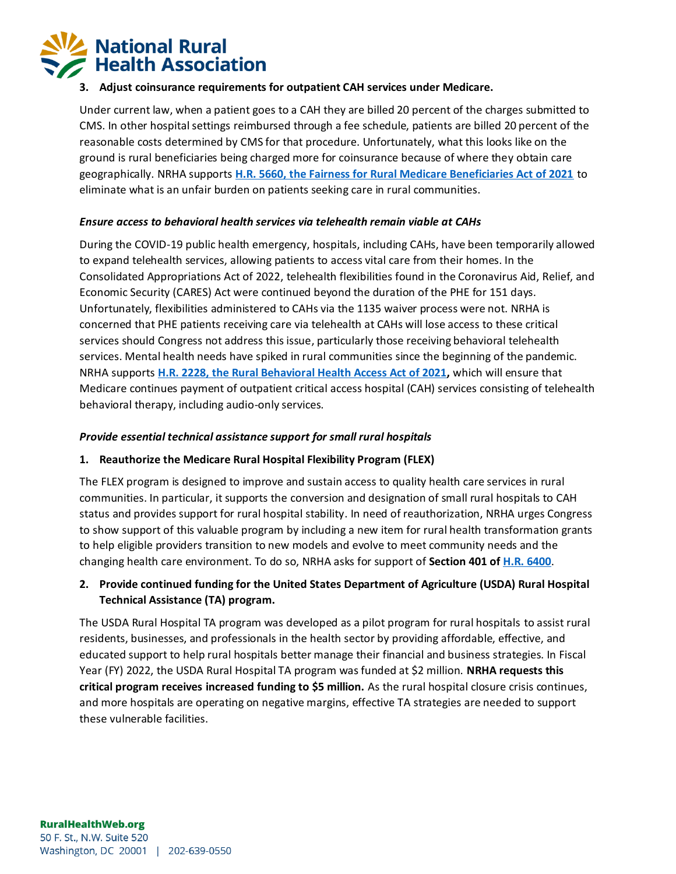

### **3. Adjust coinsurance requirements for outpatient CAH services under Medicare.**

Under current law, when a patient goes to a CAH they are billed 20 percent of the charges submitted to CMS. In other hospital settings reimbursed through a fee schedule, patients are billed 20 percent of the reasonable costs determined by CMS for that procedure. Unfortunately, what this looks like on the ground is rural beneficiaries being charged more for coinsurance because of where they obtain care geographically. NRHA supports **[H.R. 5660, the Fairness for Rural Medicare Beneficiaries Act of 2021](https://www.congress.gov/bill/117th-congress/house-bill/5660/text?r=41)** to eliminate what is an unfair burden on patients seeking care in rural communities.

## *Ensure access to behavioral health services via telehealth remain viable at CAHs*

During the COVID-19 public health emergency, hospitals, including CAHs, have been temporarily allowed to expand telehealth services, allowing patients to access vital care from their homes. In the Consolidated Appropriations Act of 2022, telehealth flexibilities found in the Coronavirus Aid, Relief, and Economic Security (CARES) Act were continued beyond the duration of the PHE for 151 days. Unfortunately, flexibilities administered to CAHs via the 1135 waiver process were not. NRHA is concerned that PHE patients receiving care via telehealth at CAHs will lose access to these critical services should Congress not address this issue, particularly those receiving behavioral telehealth services. Mental health needs have spiked in rural communities since the beginning of the pandemic. NRHA supports **[H.R. 2228, the Rural Behavioral Health Access Act of 2021,](https://www.congress.gov/bill/117th-congress/house-bill/2228)** which will ensure that Medicare continues payment of outpatient critical access hospital (CAH) services consisting of telehealth behavioral therapy, including audio-only services.

### *Provide essential technical assistance support for small rural hospitals*

## **1. Reauthorize the Medicare Rural Hospital Flexibility Program (FLEX)**

The FLEX program is designed to improve and sustain access to quality health care services in rural communities. In particular, it supports the conversion and designation of small rural hospitals to CAH status and provides support for rural hospital stability. In need of reauthorization, NRHA urges Congress to show support of this valuable program by including a new item for rural health transformation grants to help eligible providers transition to new models and evolve to meet community needs and the changing health care environment. To do so, NRHA asks for support of **Section 401 o[f H.R. 6400](https://www.congress.gov/bill/117th-congress/house-bill/6400?s=1&r=1)**.

# **2. Provide continued funding for the United States Department of Agriculture (USDA) Rural Hospital Technical Assistance (TA) program.**

The USDA Rural Hospital TA program was developed as a pilot program for rural hospitals to assist rural residents, businesses, and professionals in the health sector by providing affordable, effective, and educated support to help rural hospitals better manage their financial and business strategies. In Fiscal Year (FY) 2022, the USDA Rural Hospital TA program was funded at \$2 million. **NRHA requests this critical program receives increased funding to \$5 million.** As the rural hospital closure crisis continues, and more hospitals are operating on negative margins, effective TA strategies are needed to support these vulnerable facilities.